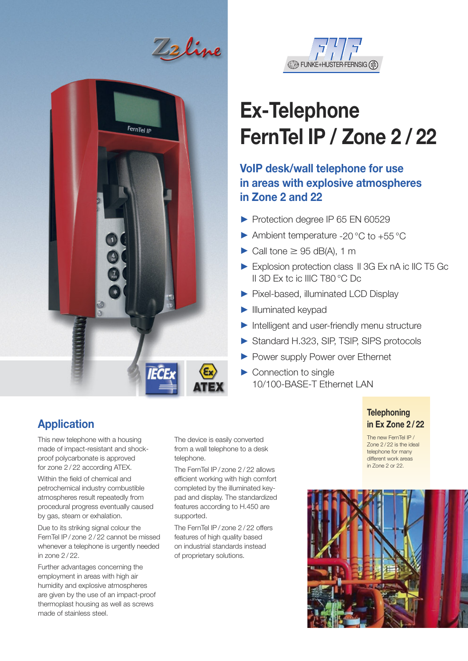<u>t2</u> line





# **Ex-Telephone FernTel IP / Zone 2 / 22**

### **VoIP desk/wall telephone for use in areas with explosive atmospheres in Zone 2 and 22**

- Protection degree IP 65 EN 60529
- $\blacktriangleright$  Ambient temperature -20 °C to +55 °C
- $\triangleright$  Call tone  $\geq$  95 dB(A), 1 m
- Explosion protection class II 3G Ex nA ic IIC T5 Gc II 3D Ex tc ic IIIC T80 °C Dc
- ▶ Pixel-based, illuminated LCD Display
- $\blacktriangleright$  Illuminated keypad
- $\blacktriangleright$  Intelligent and user-friendly menu structure
- Standard H.323, SIP, TSIP, SIPS protocols
- **> Power supply Power over Ethernet**
- $\triangleright$  Connection to single 10/100-BASE-T Ethernet LAN

#### **Telephoning in Ex Zone 2 / 22**

The new FernTel IP / Zone 2/22 is the ideal telephone for many different work areas in Zone 2 or 22.



## **Application**

This new telephone with a housing made of impact-resistant and shockproof polycarbonate is approved for zone 2 / 22 according ATEX.

Within the field of chemical and petrochemical industry combustible atmospheres result repeatedly from procedural progress eventually caused by gas, steam or exhalation.

Due to its striking signal colour the FernTel IP / zone 2 / 22 cannot be missed whenever a telephone is urgently needed in zone 2 / 22.

Further advantages concerning the employment in areas with high air humidity and explosive atmospheres are given by the use of an impact-proof thermoplast housing as well as screws made of stainless steel.

The device is easily converted from a wall telephone to a desk telephone.

The FernTel IP / zone 2 / 22 allows efficient working with high comfort completed by the illuminated keypad and display. The standardized features according to H.450 are supported.

The FernTel IP / zone 2 / 22 offers features of high quality based on industrial standards instead of proprietary solutions.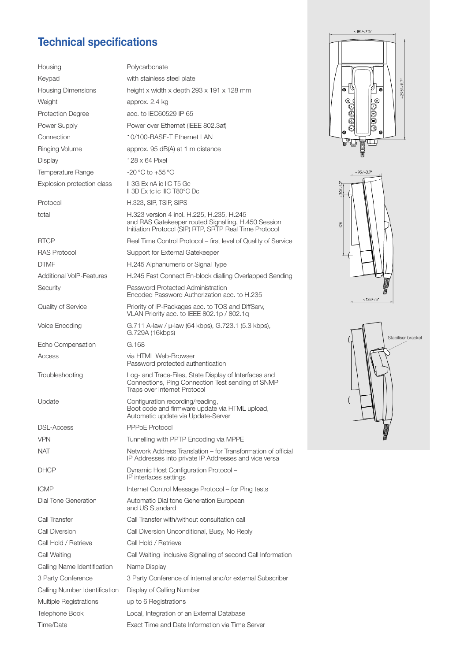## **Technical specifications**

| Housing                         | Polycarbonate                                                                                                                         |  |
|---------------------------------|---------------------------------------------------------------------------------------------------------------------------------------|--|
| Keypad                          | with stainless steel plate                                                                                                            |  |
| <b>Housing Dimensions</b>       | height x width x depth 293 x 191 x 128 mi                                                                                             |  |
| Weight                          | approx. 2.4 kg                                                                                                                        |  |
| <b>Protection Degree</b>        | acc. to IEC60529 IP 65                                                                                                                |  |
| Power Supply                    | Power over Ethernet (IEEE 802.3af)                                                                                                    |  |
| Connection                      | 10/100-BASE-T Ethernet LAN                                                                                                            |  |
| Ringing Volume                  | approx. 95 dB(A) at 1 m distance                                                                                                      |  |
| Display                         | 128 x 64 Pixel                                                                                                                        |  |
| Temperature Range               | -20 °C to +55 °C                                                                                                                      |  |
| Explosion protection class      | II 3G Ex nA ic IIC T5 Gc<br>II 3D Ex to ic IIIC T80°C Dc                                                                              |  |
| Protocol                        | H.323, SIP, TSIP, SIPS                                                                                                                |  |
| total                           | H.323 version 4 incl. H.225, H.235, H.245<br>and RAS Gatekeeper routed Signalling, H.<br>Initiation Protocol (SIP) RTP, SRTP Real Tir |  |
| <b>RTCP</b>                     | Real Time Control Protocol – first level of C                                                                                         |  |
| <b>RAS Protocol</b>             | Support for External Gatekeeper                                                                                                       |  |
| <b>DTMF</b>                     | H.245 Alphanumeric or Signal Type                                                                                                     |  |
| <b>Additional VoIP-Features</b> | H.245 Fast Connect En-block dialling Over                                                                                             |  |
| Security                        | Password Protected Administration<br>Encoded Password Authorization acc. to H                                                         |  |
| Quality of Service              | Priority of IP-Packages acc. to TOS and D<br>VLAN Priority acc. to IEEE 802.1p / 802.1d                                               |  |
| Voice Encoding                  | G.711 A-law / µ-law (64 kbps), G.723.1 (5<br>G.729A (16kbps)                                                                          |  |
| Echo Compensation               | G.168                                                                                                                                 |  |
| Access                          | via HTML Web-Browser<br>Password protected authentication                                                                             |  |
| Troubleshooting                 | Log- and Trace-Files, State Display of Inter<br>Connections, Ping Connection Test sendin<br>Traps over Internet Protocol              |  |
| Update                          | Configuration recording/reading,<br>Boot code and firmware update via HTML<br>Automatic update via Update-Server                      |  |
| DSL-Access                      | <b>PPPoE Protocol</b>                                                                                                                 |  |
| <b>VPN</b>                      | Tunnelling with PPTP Encoding via MPPE                                                                                                |  |
| NAT                             | Network Address Translation – for Transfor<br>IP Addresses into private IP Addresses and                                              |  |
| DHCP                            | Dynamic Host Configuration Protocol -<br>IP interfaces settings                                                                       |  |
| <b>ICMP</b>                     | Internet Control Message Protocol - for Pir                                                                                           |  |
| Dial Tone Generation            | Automatic Dial tone Generation European<br>and US Standard                                                                            |  |
| Call Transfer                   | Call Transfer with/without consultation call                                                                                          |  |
| Call Diversion                  | Call Diversion Unconditional, Busy, No Rep                                                                                            |  |
| Call Hold / Retrieve            | Call Hold / Retrieve                                                                                                                  |  |
| Call Waiting                    | Call Waiting inclusive Signalling of second                                                                                           |  |
| Calling Name Identification     | Name Display                                                                                                                          |  |
| 3 Party Conference              | 3 Party Conference of internal and/or exter                                                                                           |  |
| Calling Number Identification   | Display of Calling Number                                                                                                             |  |
| <b>Multiple Registrations</b>   | up to 6 Registrations                                                                                                                 |  |
| Telephone Book                  | Local, Integration of an External Database                                                                                            |  |

| <u>ICUIIIIUAI SPEUIIUAUUIIS</u> |                                                                                                                                                            |
|---------------------------------|------------------------------------------------------------------------------------------------------------------------------------------------------------|
| Housing                         | Polycarbonate                                                                                                                                              |
| Keypad                          | with stainless steel plate                                                                                                                                 |
| <b>Housing Dimensions</b>       | height x width x depth 293 x 191 x 128 mm                                                                                                                  |
| Weight                          | approx. 2.4 kg                                                                                                                                             |
| <b>Protection Degree</b>        | acc. to IEC60529 IP 65                                                                                                                                     |
| Power Supply                    | Power over Ethernet (IEEE 802.3af)                                                                                                                         |
| Connection                      | 10/100-BASE-T Ethernet LAN                                                                                                                                 |
| Ringing Volume                  | approx. 95 dB(A) at 1 m distance                                                                                                                           |
| Display                         | 128 x 64 Pixel                                                                                                                                             |
| Temperature Range               | -20 °C to +55 °C                                                                                                                                           |
| Explosion protection class      | II 3G Ex nA ic IIC T5 Gc<br>II 3D Ex to ic IIIC T80°C Dc                                                                                                   |
| Protocol                        | H.323, SIP, TSIP, SIPS                                                                                                                                     |
| total                           | H.323 version 4 incl. H.225, H.235, H.245<br>and RAS Gatekeeper routed Signalling, H.450 Session<br>Initiation Protocol (SIP) RTP, SRTP Real Time Protocol |
| RTCP                            | Real Time Control Protocol – first level of Quality of Service                                                                                             |
| RAS Protocol                    | Support for External Gatekeeper                                                                                                                            |
| DTMF                            | H.245 Alphanumeric or Signal Type                                                                                                                          |
| Additional VoIP-Features        | H.245 Fast Connect En-block dialling Overlapped Sending                                                                                                    |
| Security                        | Password Protected Administration<br>Encoded Password Authorization acc. to H.235                                                                          |
| Quality of Service              | Priority of IP-Packages acc. to TOS and DiffServ,<br>VLAN Priority acc. to IEEE 802.1p / 802.1g                                                            |
| Voice Encoding                  | G.711 A-law / µ-law (64 kbps), G.723.1 (5.3 kbps),<br>G.729A (16kbps)                                                                                      |
| Echo Compensation               | G.168                                                                                                                                                      |
| Access                          | via HTML Web-Browser<br>Password protected authentication                                                                                                  |
| Troubleshooting                 | Log- and Trace-Files, State Display of Interfaces and<br>Connections, Ping Connection Test sending of SNMP<br>Traps over Internet Protocol                 |
| Update                          | Configuration recording/reading,<br>Boot code and firmware update via HTML upload,<br>Automatic update via Update-Server                                   |
| DSL-Access                      | <b>PPPoE Protocol</b>                                                                                                                                      |
| <b>VPN</b>                      | Tunnelling with PPTP Encoding via MPPE                                                                                                                     |
| NAT                             | Network Address Translation – for Transformation of official<br>IP Addresses into private IP Addresses and vice versa                                      |
| DHCP                            | Dynamic Host Configuration Protocol -<br>IP interfaces settings                                                                                            |
| ICMP                            | Internet Control Message Protocol – for Ping tests                                                                                                         |
| Dial Tone Generation            | Automatic Dial tone Generation European<br>and US Standard                                                                                                 |
| Call Transfer                   | Call Transfer with/without consultation call                                                                                                               |
| Call Diversion                  | Call Diversion Unconditional, Busy, No Reply                                                                                                               |
| Call Hold / Retrieve            | Call Hold / Retrieve                                                                                                                                       |
| Call Waiting                    | Call Waiting inclusive Signalling of second Call Information                                                                                               |
| Calling Name Identification     | Name Display                                                                                                                                               |
| 3 Party Conference              | 3 Party Conference of internal and/or external Subscriber                                                                                                  |
| Calling Number Identification   | Display of Calling Number                                                                                                                                  |
| Multiple Registrations          | up to 6 Registrations                                                                                                                                      |

Time/Date Exact Time and Date Information via Time Server